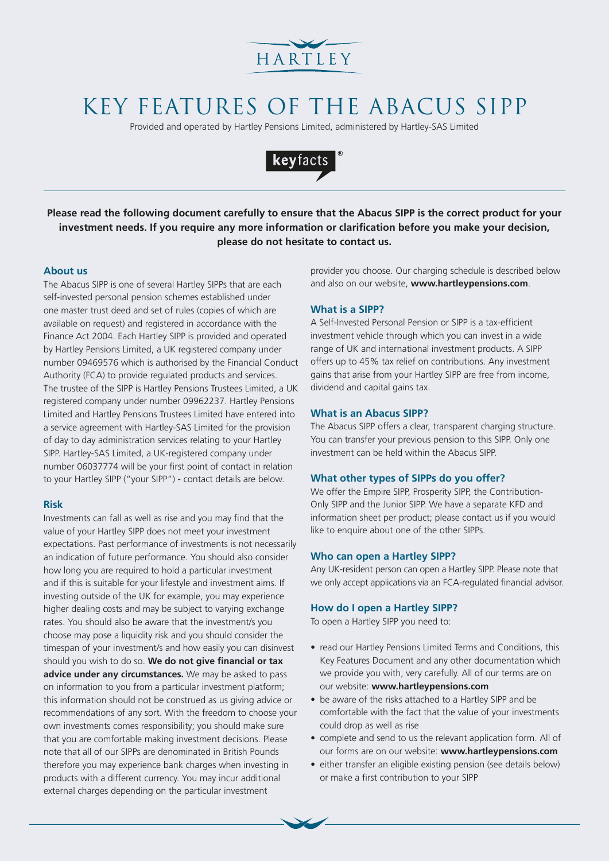

# KEY FEATURES OF THE ABACUS SIPP

Provided and operated by Hartley Pensions Limited, administered by Hartley-SAS Limited



**Please read the following document carefully to ensure that the Abacus SIPP is the correct product for your investment needs. If you require any more information or clarification before you make your decision, please do not hesitate to contact us.**

## **About us**

The Abacus SIPP is one of several Hartley SIPPs that are each self-invested personal pension schemes established under one master trust deed and set of rules (copies of which are available on request) and registered in accordance with the Finance Act 2004. Each Hartley SIPP is provided and operated by Hartley Pensions Limited, a UK registered company under number 09469576 which is authorised by the Financial Conduct Authority (FCA) to provide regulated products and services. The trustee of the SIPP is Hartley Pensions Trustees Limited, a UK registered company under number 09962237. Hartley Pensions Limited and Hartley Pensions Trustees Limited have entered into a service agreement with Hartley-SAS Limited for the provision of day to day administration services relating to your Hartley SIPP. Hartley-SAS Limited, a UK-registered company under number 06037774 will be your first point of contact in relation to your Hartley SIPP ("your SIPP") - contact details are below.

## **Risk**

Investments can fall as well as rise and you may find that the value of your Hartley SIPP does not meet your investment expectations. Past performance of investments is not necessarily an indication of future performance. You should also consider how long you are required to hold a particular investment and if this is suitable for your lifestyle and investment aims. If investing outside of the UK for example, you may experience higher dealing costs and may be subject to varying exchange rates. You should also be aware that the investment/s you choose may pose a liquidity risk and you should consider the timespan of your investment/s and how easily you can disinvest should you wish to do so. **We do not give financial or tax advice under any circumstances.** We may be asked to pass on information to you from a particular investment platform; this information should not be construed as us giving advice or recommendations of any sort. With the freedom to choose your own investments comes responsibility; you should make sure that you are comfortable making investment decisions. Please note that all of our SIPPs are denominated in British Pounds therefore you may experience bank charges when investing in products with a different currency. You may incur additional external charges depending on the particular investment

provider you choose. Our charging schedule is described below and also on our website, **www.hartleypensions.com**.

## **What is a SIPP?**

A Self-Invested Personal Pension or SIPP is a tax-efficient investment vehicle through which you can invest in a wide range of UK and international investment products. A SIPP offers up to 45% tax relief on contributions. Any investment gains that arise from your Hartley SIPP are free from income, dividend and capital gains tax.

### **What is an Abacus SIPP?**

The Abacus SIPP offers a clear, transparent charging structure. You can transfer your previous pension to this SIPP. Only one investment can be held within the Abacus SIPP.

## **What other types of SIPPs do you offer?**

We offer the Empire SIPP, Prosperity SIPP, the Contribution-Only SIPP and the Junior SIPP. We have a separate KFD and information sheet per product; please contact us if you would like to enquire about one of the other SIPPs.

#### **Who can open a Hartley SIPP?**

Any UK-resident person can open a Hartley SIPP. Please note that we only accept applications via an FCA-regulated financial advisor.

## **How do I open a Hartley SIPP?**

To open a Hartley SIPP you need to:

- read our Hartley Pensions Limited Terms and Conditions, this Key Features Document and any other documentation which we provide you with, very carefully. All of our terms are on our website: **www.hartleypensions.com**
- be aware of the risks attached to a Hartley SIPP and be comfortable with the fact that the value of your investments could drop as well as rise
- complete and send to us the relevant application form. All of our forms are on our website: **www.hartleypensions.com**
- either transfer an eligible existing pension (see details below) or make a first contribution to your SIPP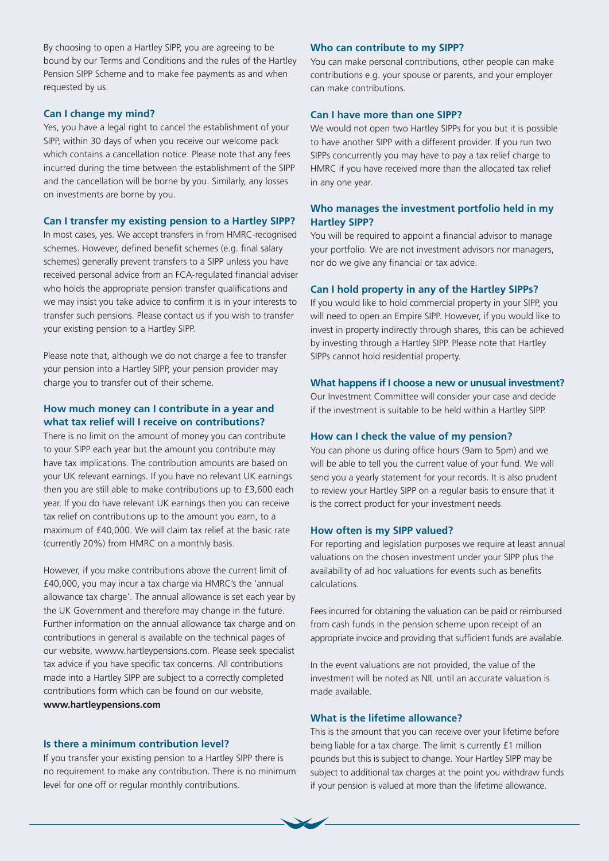By choosing to open a Hartley SIPP, you are agreeing to be bound by our Terms and Conditions and the rules of the Hartley Pension SIPP Scheme and to make fee payments as and when requested by us.

## **Can I change my mind?**

Yes, you have a legal right to cancel the establishment of your SIPP, within 30 days of when you receive our welcome pack which contains a cancellation notice. Please note that any fees incurred during the time between the establishment of the SIPP and the cancellation will be borne by you. Similarly, any losses on investments are borne by you.

## **Can I transfer my existing pension to a Hartley SIPP?**

In most cases, yes. We accept transfers in from HMRC-recognised schemes. However, defined benefit schemes (e.g. final salary schemes) generally prevent transfers to a SIPP unless you have received personal advice from an FCA-regulated financial adviser who holds the appropriate pension transfer qualifications and we may insist you take advice to confirm it is in your interests to transfer such pensions. Please contact us if you wish to transfer your existing pension to a Hartley SIPP.

Please note that, although we do not charge a fee to transfer your pension into a Hartley SIPP, your pension provider may charge you to transfer out of their scheme.

## **How much money can I contribute in a year and what tax relief will I receive on contributions?**

There is no limit on the amount of money you can contribute to your SIPP each year but the amount you contribute may have tax implications. The contribution amounts are based on your UK relevant earnings. If you have no relevant UK earnings then you are still able to make contributions up to £3,600 each year. If you do have relevant UK earnings then you can receive tax relief on contributions up to the amount you earn, to a maximum of £40,000. We will claim tax relief at the basic rate (currently 20%) from HMRC on a monthly basis.

However, if you make contributions above the current limit of £40,000, you may incur a tax charge via HMRC's the 'annual allowance tax charge'. The annual allowance is set each year by the UK Government and therefore may change in the future. Further information on the annual allowance tax charge and on contributions in general is available on the technical pages of our website, wwww.hartleypensions.com. Please seek specialist tax advice if you have specific tax concerns. All contributions made into a Hartley SIPP are subject to a correctly completed contributions form which can be found on our website, **www.hartleypensions.com** 

## **Is there a minimum contribution level?**

If you transfer your existing pension to a Hartley SIPP there is no requirement to make any contribution. There is no minimum level for one off or regular monthly contributions.

## **Who can contribute to my SIPP?**

You can make personal contributions, other people can make contributions e.g. your spouse or parents, and your employer can make contributions.

#### **Can I have more than one SIPP?**

We would not open two Hartley SIPPs for you but it is possible to have another SIPP with a different provider. If you run two SIPPs concurrently you may have to pay a tax relief charge to HMRC if you have received more than the allocated tax relief in any one year.

## **Who manages the investment portfolio held in my Hartley SIPP?**

You will be required to appoint a financial advisor to manage your portfolio. We are not investment advisors nor managers, nor do we give any financial or tax advice.

## **Can I hold property in any of the Hartley SIPPs?**

If you would like to hold commercial property in your SIPP, you will need to open an Empire SIPP. However, if you would like to invest in property indirectly through shares, this can be achieved by investing through a Hartley SIPP. Please note that Hartley SIPPs cannot hold residential property.

#### **What happens if I choose a new or unusual investment?**

Our Investment Committee will consider your case and decide if the investment is suitable to be held within a Hartley SIPP.

### **How can I check the value of my pension?**

You can phone us during office hours (9am to 5pm) and we will be able to tell you the current value of your fund. We will send you a yearly statement for your records. It is also prudent to review your Hartley SIPP on a regular basis to ensure that it is the correct product for your investment needs.

## **How often is my SIPP valued?**

For reporting and legislation purposes we require at least annual valuations on the chosen investment under your SIPP plus the availability of ad hoc valuations for events such as benefits calculations.

Fees incurred for obtaining the valuation can be paid or reimbursed from cash funds in the pension scheme upon receipt of an appropriate invoice and providing that sufficient funds are available.

In the event valuations are not provided, the value of the investment will be noted as NIL until an accurate valuation is made available.

## **What is the lifetime allowance?**

This is the amount that you can receive over your lifetime before being liable for a tax charge. The limit is currently £1 million pounds but this is subject to change. Your Hartley SIPP may be subject to additional tax charges at the point you withdraw funds if your pension is valued at more than the lifetime allowance.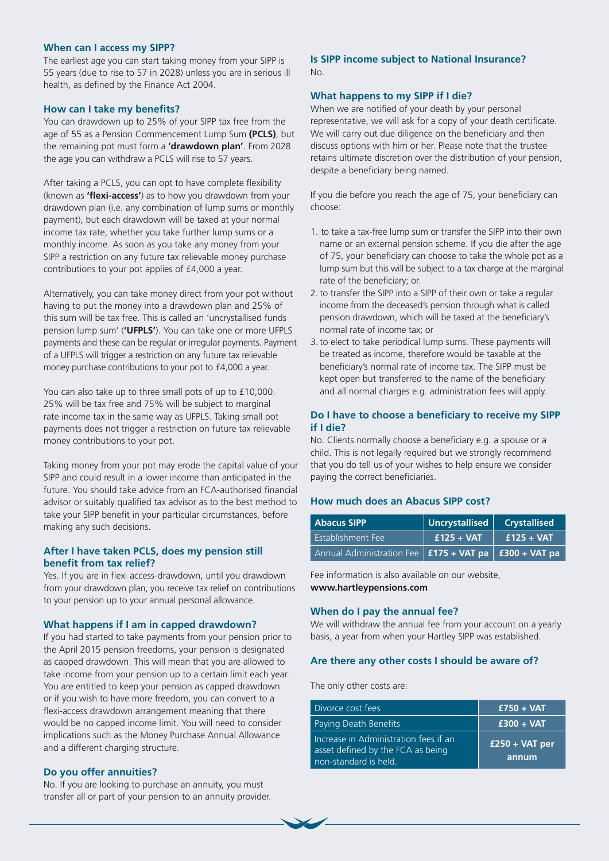## **When can I access my SIPP?**

The earliest age you can start taking money from your SIPP is 55 years (due to rise to 57 in 2028) unless you are in serious ill health, as defined by the Finance Act 2004.

#### **How can I take my benefits?**

You can drawdown up to 25% of your SIPP tax free from the age of 55 as a Pension Commencement Lump Sum **(PCLS)**, but the remaining pot must form a **'drawdown plan'**. From 2028 the age you can withdraw a PCLS will rise to 57 years.

After taking a PCLS, you can opt to have complete flexibility (known as **'flexi-access'**) as to how you drawdown from your drawdown plan (i.e. any combination of lump sums or monthly payment), but each drawdown will be taxed at your normal income tax rate, whether you take further lump sums or a monthly income. As soon as you take any money from your SIPP a restriction on any future tax relievable money purchase contributions to your pot applies of £4,000 a year.

Alternatively, you can take money direct from your pot without having to put the money into a drawdown plan and 25% of this sum will be tax free. This is called an 'uncrystallised funds pension lump sum' (**'UFPLS'**). You can take one or more UFPLS payments and these can be regular or irregular payments. Payment of a UFPLS will trigger a restriction on any future tax relievable money purchase contributions to your pot to £4,000 a year.

You can also take up to three small pots of up to £10,000. 25% will be tax free and 75% will be subject to marginal rate income tax in the same way as UFPLS. Taking small pot payments does not trigger a restriction on future tax relievable money contributions to your pot.

Taking money from your pot may erode the capital value of your SIPP and could result in a lower income than anticipated in the future. You should take advice from an FCA-authorised financial advisor or suitably qualified tax advisor as to the best method to take your SIPP benefit in your particular circumstances, before making any such decisions.

## **After I have taken PCLS, does my pension still benefit from tax relief?**

Yes. If you are in flexi access-drawdown, until you drawdown from your drawdown plan, you receive tax relief on contributions to your pension up to your annual personal allowance.

#### **What happens if I am in capped drawdown?**

If you had started to take payments from your pension prior to the April 2015 pension freedoms, your pension is designated as capped drawdown. This will mean that you are allowed to take income from your pension up to a certain limit each year. You are entitled to keep your pension as capped drawdown or if you wish to have more freedom, you can convert to a flexi-access drawdown arrangement meaning that there would be no capped income limit. You will need to consider implications such as the Money Purchase Annual Allowance and a different charging structure.

## **Do you offer annuities?**

No. If you are looking to purchase an annuity, you must transfer all or part of your pension to an annuity provider.

## **Is SIPP income subject to National Insurance?** No.

## **What happens to my SIPP if I die?**

When we are notified of your death by your personal representative, we will ask for a copy of your death certificate. We will carry out due diligence on the beneficiary and then discuss options with him or her. Please note that the trustee retains ultimate discretion over the distribution of your pension, despite a beneficiary being named.

If you die before you reach the age of 75, your beneficiary can choose:

- 1. to take a tax-free lump sum or transfer the SIPP into their own name or an external pension scheme. If you die after the age of 75, your beneficiary can choose to take the whole pot as a lump sum but this will be subject to a tax charge at the marginal rate of the beneficiary; or.
- 2. to transfer the SIPP into a SIPP of their own or take a regular income from the deceased's pension through what is called pension drawdown, which will be taxed at the beneficiary's normal rate of income tax; or
- 3. to elect to take periodical lump sums. These payments will be treated as income, therefore would be taxable at the beneficiary's normal rate of income tax. The SIPP must be kept open but transferred to the name of the beneficiary and all normal charges e.g. administration fees will apply.

## **Do I have to choose a beneficiary to receive my SIPP if I die?**

No. Clients normally choose a beneficiary e.g. a spouse or a child. This is not legally required but we strongly recommend that you do tell us of your wishes to help ensure we consider paying the correct beneficiaries.

## **How much does an Abacus SIPP cost?**

| <b>Abacus SIPP</b>                                        | Uncrystallised $ $ | <b>Crystallised</b> |
|-----------------------------------------------------------|--------------------|---------------------|
| Establishment Fee                                         | $f125 + VAT$       | $f125 + VAT$        |
| Annual Administration Fee   £175 + VAT pa   £300 + VAT pa |                    |                     |

Fee information is also available on our website, **www.hartleypensions.com**

#### **When do I pay the annual fee?**

We will withdraw the annual fee from your account on a yearly basis, a year from when your Hartley SIPP was established.

## **Are there any other costs I should be aware of?**

The only other costs are:

| Divorce cost fees                                                                                   | $£750 + VAT$              |
|-----------------------------------------------------------------------------------------------------|---------------------------|
| Paying Death Benefits                                                                               | $£300 + VAT$              |
| Increase in Administration fees if an<br>asset defined by the FCA as being<br>non-standard is held. | $£250 + VAT$ per<br>annum |